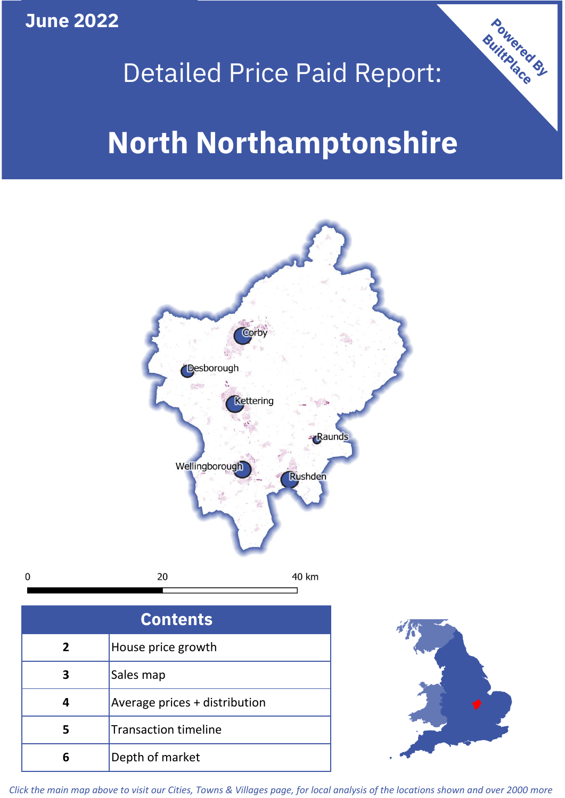**June 2022**

 $\mathbf 0$ 

# Detailed Price Paid Report:

# **North Northamptonshire**



| <b>Contents</b> |                               |  |  |
|-----------------|-------------------------------|--|--|
| $\overline{2}$  | House price growth            |  |  |
| 3               | Sales map                     |  |  |
| 4               | Average prices + distribution |  |  |
| 5               | <b>Transaction timeline</b>   |  |  |
|                 | Depth of market               |  |  |



Powered By

*Click the main map above to visit our Cities, Towns & Villages page, for local analysis of the locations shown and over 2000 more*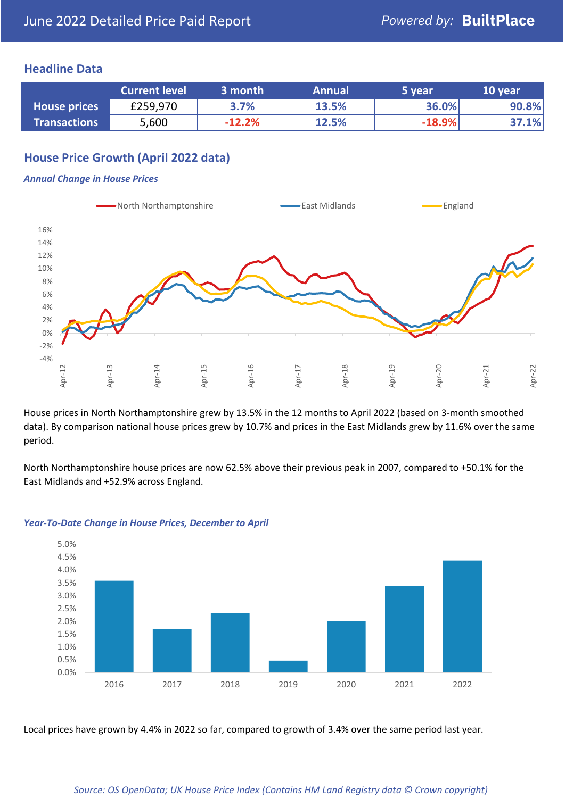### **Headline Data**

|                     | <b>Current level</b> | 3 month  | <b>Annual</b> | '5 year  | 10 year |
|---------------------|----------------------|----------|---------------|----------|---------|
| <b>House prices</b> | £259,970             | 3.7%     | 13.5%         | 36.0%    | 90.8%   |
| <b>Transactions</b> | 5,600                | $-12.2%$ | 12.5%         | $-18.9%$ | 37.1%   |

# **House Price Growth (April 2022 data)**

#### *Annual Change in House Prices*



House prices in North Northamptonshire grew by 13.5% in the 12 months to April 2022 (based on 3-month smoothed data). By comparison national house prices grew by 10.7% and prices in the East Midlands grew by 11.6% over the same period.

North Northamptonshire house prices are now 62.5% above their previous peak in 2007, compared to +50.1% for the East Midlands and +52.9% across England.



#### *Year-To-Date Change in House Prices, December to April*

Local prices have grown by 4.4% in 2022 so far, compared to growth of 3.4% over the same period last year.

#### *Source: OS OpenData; UK House Price Index (Contains HM Land Registry data © Crown copyright)*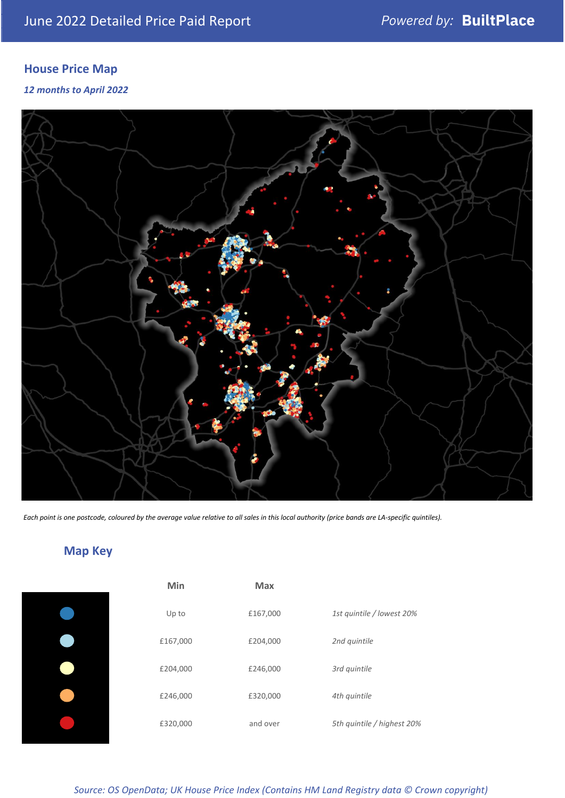# **House Price Map**

*12 months to April 2022*



*Each point is one postcode, coloured by the average value relative to all sales in this local authority (price bands are LA-specific quintiles).*

# **Map Key**

| Min      | Max      |                            |
|----------|----------|----------------------------|
| Up to    | £167,000 | 1st quintile / lowest 20%  |
| £167,000 | £204,000 | 2nd quintile               |
| £204,000 | £246,000 | 3rd quintile               |
| £246,000 | £320,000 | 4th quintile               |
| £320,000 | and over | 5th quintile / highest 20% |

*Source: OS OpenData; UK House Price Index (Contains HM Land Registry data © Crown copyright)*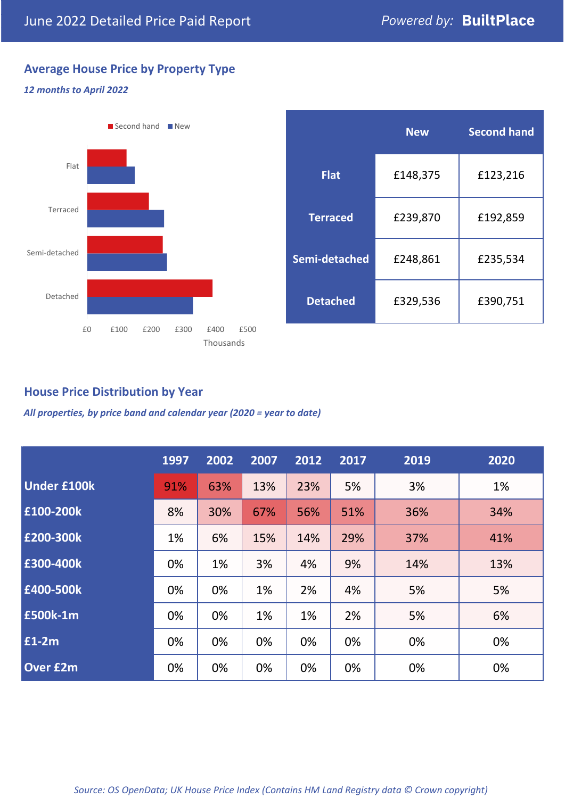# **Average House Price by Property Type**

#### *12 months to April 2022*



|                 | <b>New</b> | <b>Second hand</b> |  |  |
|-----------------|------------|--------------------|--|--|
| <b>Flat</b>     | £148,375   | £123,216           |  |  |
| <b>Terraced</b> | £239,870   | £192,859           |  |  |
| Semi-detached   | £248,861   | £235,534           |  |  |
| <b>Detached</b> | £329,536   | £390,751           |  |  |

# **House Price Distribution by Year**

*All properties, by price band and calendar year (2020 = year to date)*

|                    | 1997 | 2002 | 2007 | 2012 | 2017 | 2019 | 2020 |
|--------------------|------|------|------|------|------|------|------|
| <b>Under £100k</b> | 91%  | 63%  | 13%  | 23%  | 5%   | 3%   | 1%   |
| £100-200k          | 8%   | 30%  | 67%  | 56%  | 51%  | 36%  | 34%  |
| E200-300k          | 1%   | 6%   | 15%  | 14%  | 29%  | 37%  | 41%  |
| £300-400k          | 0%   | 1%   | 3%   | 4%   | 9%   | 14%  | 13%  |
| £400-500k          | 0%   | 0%   | 1%   | 2%   | 4%   | 5%   | 5%   |
| <b>£500k-1m</b>    | 0%   | 0%   | 1%   | 1%   | 2%   | 5%   | 6%   |
| £1-2m              | 0%   | 0%   | 0%   | 0%   | 0%   | 0%   | 0%   |
| <b>Over £2m</b>    | 0%   | 0%   | 0%   | 0%   | 0%   | 0%   | 0%   |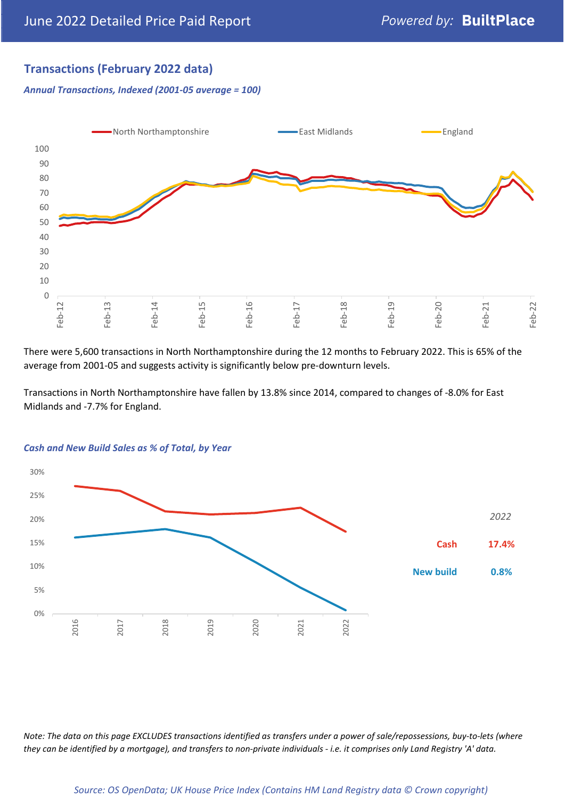# **Transactions (February 2022 data)**

*Annual Transactions, Indexed (2001-05 average = 100)*



There were 5,600 transactions in North Northamptonshire during the 12 months to February 2022. This is 65% of the average from 2001-05 and suggests activity is significantly below pre-downturn levels.

Transactions in North Northamptonshire have fallen by 13.8% since 2014, compared to changes of -8.0% for East Midlands and -7.7% for England.



#### *Cash and New Build Sales as % of Total, by Year*

*Note: The data on this page EXCLUDES transactions identified as transfers under a power of sale/repossessions, buy-to-lets (where they can be identified by a mortgage), and transfers to non-private individuals - i.e. it comprises only Land Registry 'A' data.*